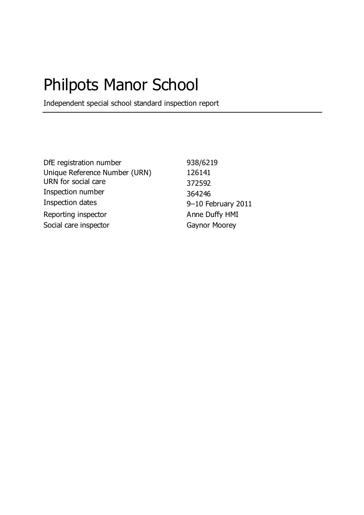# Philpots Manor School

Independent special school standard inspection report

DfE registration number 938/6219 Unique Reference Number (URN) 126141 URN for social care 372592 Inspection number 364246<br>Inspection dates 9–10 Fe Reporting inspector Anne Duffy HMI Social care inspector Gaynor Moorey

9–10 February 2011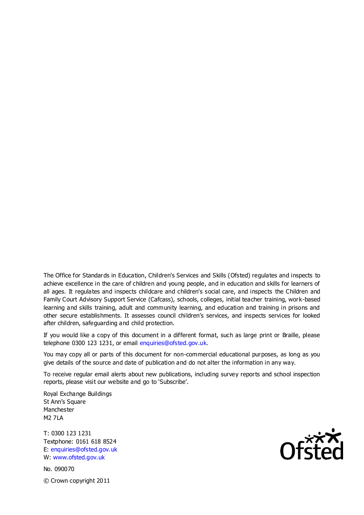The Office for Standards in Education, Children's Services and Skills (Ofsted) regulates and inspects to achieve excellence in the care of children and young people, and in education and skills for learners of all ages. It regulates and inspects childcare and children's social care, and inspects the Children and Family Court Advisory Support Service (Cafcass), schools, colleges, initial teacher training, work-based learning and skills training, adult and community learning, and education and training in prisons and other secure establishments. It assesses council children's services, and inspects services for looked after children, safeguarding and child protection.

If you would like a copy of this document in a different format, such as large print or Braille, please telephone 0300 123 1231, or email enquiries@ofsted.gov.uk.

You may copy all or parts of this document for non-commercial educational purposes, as long as you give details of the source and date of publication and do not alter the information in any way.

To receive regular email alerts about new publications, including survey reports and school inspection reports, please visit our website and go to 'Subscribe'.

Royal Exchange Buildings St Ann's Square Manchester M2 7LA

T: 0300 123 1231 Textphone: 0161 618 8524 E: enquiries@ofsted.gov.uk W: www.ofsted.gov.uk

No. 090070 © Crown copyright 2011

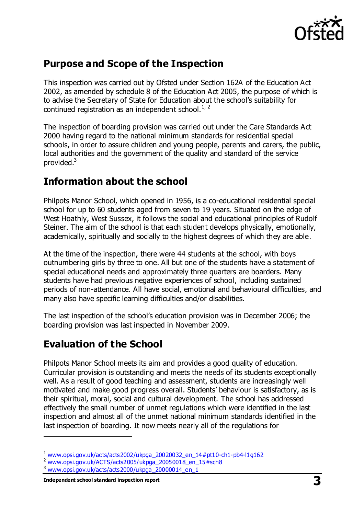

## **Purpose and Scope of the Inspection**

This inspection was carried out by Ofsted under Section 162A of the Education Act 2002, as amended by schedule 8 of the Education Act 2005, the purpose of which is to advise the Secretary of State for Education about the school's suitability for continued registration as an independent school. $1/2$ 

The inspection of boarding provision was carried out under the Care Standards Act 2000 having regard to the national minimum standards for residential special schools, in order to assure children and young people, parents and carers, the public, local authorities and the government of the quality and standard of the service provided.<sup>3</sup>

## **Information about the school**

Philpots Manor School, which opened in 1956, is a co-educational residential special school for up to 60 students aged from seven to 19 years. Situated on the edge of West Hoathly, West Sussex, it follows the social and educational principles of Rudolf Steiner. The aim of the school is that each student develops physically, emotionally, academically, spiritually and socially to the highest degrees of which they are able.

At the time of the inspection, there were 44 students at the school, with boys outnumbering girls by three to one. All but one of the students have a statement of special educational needs and approximately three quarters are boarders. Many students have had previous negative experiences of school, including sustained periods of non-attendance. All have social, emotional and behavioural difficulties, and many also have specific learning difficulties and/or disabilities.

The last inspection of the school's education provision was in December 2006; the boarding provision was last inspected in November 2009.

## **Evaluation of the School**

Philpots Manor School meets its aim and provides a good quality of education. Curricular provision is outstanding and meets the needs of its students exceptionally well. As a result of good teaching and assessment, students are increasingly well motivated and make good progress overall. Students' behaviour is satisfactory, as is their spiritual, moral, social and cultural development. The school has addressed effectively the small number of unmet regulations which were identified in the last inspection and almost all of the unmet national minimum standards identified in the last inspection of boarding. It now meets nearly all of the regulations for

 $\overline{a}$ 

<sup>1</sup> [www.opsi.gov.uk/acts/acts2002/ukpga\\_20020032\\_en\\_14#pt10-ch1-pb4-l1g162](https://www.opsi.gov.uk/acts/acts2002/ukpga_20020032_en_14%23pt10-ch1-pb4-l1g162)

<sup>2</sup> [www.opsi.gov.uk/ACTS/acts2005/ukpga\\_20050018\\_en\\_15#sch8](http://www.opsi.gov.uk/ACTS/acts2005/ukpga_20050018_en_15#sch8)

<sup>3</sup> [www.opsi.gov.uk/acts/acts2000/ukpga\\_20000014\\_en\\_1](http://www.opsi.gov.uk/acts/acts2000/ukpga_20000014_en_1)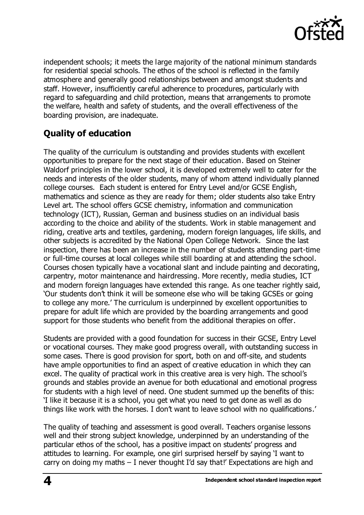

independent schools; it meets the large majority of the national minimum standards for residential special schools. The ethos of the school is reflected in the family atmosphere and generally good relationships between and amongst students and staff. However, insufficiently careful adherence to procedures, particularly with regard to safeguarding and child protection, means that arrangements to promote the welfare, health and safety of students, and the overall effectiveness of the boarding provision, are inadequate.

## **Quality of education**

The quality of the curriculum is outstanding and provides students with excellent opportunities to prepare for the next stage of their education. Based on Steiner Waldorf principles in the lower school, it is developed extremely well to cater for the needs and interests of the older students, many of whom attend individually planned college courses. Each student is entered for Entry Level and/or GCSE English, mathematics and science as they are ready for them; older students also take Entry Level art. The school offers GCSE chemistry, information and communication technology (ICT), Russian, German and business studies on an individual basis according to the choice and ability of the students. Work in stable management and riding, creative arts and textiles, gardening, modern foreign languages, life skills, and other subjects is accredited by the National Open College Network. Since the last inspection, there has been an increase in the number of students attending part-time or full-time courses at local colleges while still boarding at and attending the school. Courses chosen typically have a vocational slant and include painting and decorating, carpentry, motor maintenance and hairdressing. More recently, media studies, ICT and modern foreign languages have extended this range. As one teacher rightly said, 'Our students don't think it will be someone else who will be taking GCSEs or going to college any more.' The curriculum is underpinned by excellent opportunities to prepare for adult life which are provided by the boarding arrangements and good support for those students who benefit from the additional therapies on offer.

Students are provided with a good foundation for success in their GCSE, Entry Level or vocational courses. They make good progress overall, with outstanding success in some cases. There is good provision for sport, both on and off-site, and students have ample opportunities to find an aspect of creative education in which they can excel. The quality of practical work in this creative area is very high. The school's grounds and stables provide an avenue for both educational and emotional progress for students with a high level of need. One student summed up the benefits of this: 'I like it because it is a school, you get what you need to get done as well as do things like work with the horses. I don't want to leave school with no qualifications.'

The quality of teaching and assessment is good overall. Teachers organise lessons well and their strong subject knowledge, underpinned by an understanding of the particular ethos of the school, has a positive impact on students' progress and attitudes to learning. For example, one girl surprised herself by saying 'I want to carry on doing my maths – I never thought I'd say that!' Expectations are high and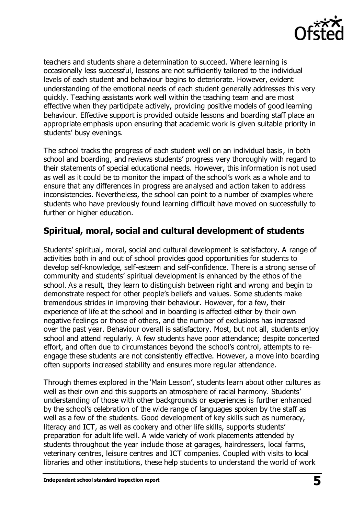

teachers and students share a determination to succeed. Where learning is occasionally less successful, lessons are not sufficiently tailored to the individual levels of each student and behaviour begins to deteriorate. However, evident understanding of the emotional needs of each student generally addresses this very quickly. Teaching assistants work well within the teaching team and are most effective when they participate actively, providing positive models of good learning behaviour. Effective support is provided outside lessons and boarding staff place an appropriate emphasis upon ensuring that academic work is given suitable priority in students' busy evenings.

The school tracks the progress of each student well on an individual basis, in both school and boarding, and reviews students' progress very thoroughly with regard to their statements of special educational needs. However, this information is not used as well as it could be to monitor the impact of the school's work as a whole and to ensure that any differences in progress are analysed and action taken to address inconsistencies. Nevertheless, the school can point to a number of examples where students who have previously found learning difficult have moved on successfully to further or higher education.

#### **Spiritual, moral, social and cultural development of students**

Students' spiritual, moral, social and cultural development is satisfactory. A range of activities both in and out of school provides good opportunities for students to develop self-knowledge, self-esteem and self-confidence. There is a strong sense of community and students' spiritual development is enhanced by the ethos of the school. As a result, they learn to distinguish between right and wrong and begin to demonstrate respect for other people's beliefs and values. Some students make tremendous strides in improving their behaviour. However, for a few, their experience of life at the school and in boarding is affected either by their own negative feelings or those of others, and the number of exclusions has increased over the past year. Behaviour overall is satisfactory. Most, but not all, students enjoy school and attend regularly. A few students have poor attendance; despite concerted effort, and often due to circumstances beyond the school's control, attempts to reengage these students are not consistently effective. However, a move into boarding often supports increased stability and ensures more regular attendance.

Through themes explored in the 'Main Lesson', students learn about other cultures as well as their own and this supports an atmosphere of racial harmony. Students' understanding of those with other backgrounds or experiences is further enhanced by the school's celebration of the wide range of languages spoken by the staff as well as a few of the students. Good development of key skills such as numeracy, literacy and ICT, as well as cookery and other life skills, supports students' preparation for adult life well. A wide variety of work placements attended by students throughout the year include those at garages, hairdressers, local farms, veterinary centres, leisure centres and ICT companies. Coupled with visits to local libraries and other institutions, these help students to understand the world of work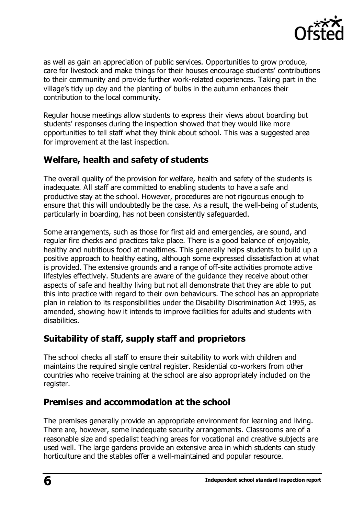

as well as gain an appreciation of public services. Opportunities to grow produce, care for livestock and make things for their houses encourage students' contributions to their community and provide further work-related experiences. Taking part in the village's tidy up day and the planting of bulbs in the autumn enhances their contribution to the local community.

Regular house meetings allow students to express their views about boarding but students' responses during the inspection showed that they would like more opportunities to tell staff what they think about school. This was a suggested area for improvement at the last inspection.

## **Welfare, health and safety of students**

The overall quality of the provision for welfare, health and safety of the students is inadequate. All staff are committed to enabling students to have a safe and productive stay at the school. However, procedures are not rigourous enough to ensure that this will undoubtedly be the case. As a result, the well-being of students, particularly in boarding, has not been consistently safeguarded.

Some arrangements, such as those for first aid and emergencies, are sound, and regular fire checks and practices take place. There is a good balance of enjoyable, healthy and nutritious food at mealtimes. This generally helps students to build up a positive approach to healthy eating, although some expressed dissatisfaction at what is provided. The extensive grounds and a range of off-site activities promote active lifestyles effectively. Students are aware of the guidance they receive about other aspects of safe and healthy living but not all demonstrate that they are able to put this into practice with regard to their own behaviours. The school has an appropriate plan in relation to its responsibilities under the Disability Discrimination Act 1995, as amended, showing how it intends to improve facilities for adults and students with disabilities.

#### **Suitability of staff, supply staff and proprietors**

The school checks all staff to ensure their suitability to work with children and maintains the required single central register. Residential co-workers from other countries who receive training at the school are also appropriately included on the register.

## **Premises and accommodation at the school**

The premises generally provide an appropriate environment for learning and living. There are, however, some inadequate security arrangements. Classrooms are of a reasonable size and specialist teaching areas for vocational and creative subjects are used well. The large gardens provide an extensive area in which students can study horticulture and the stables offer a well-maintained and popular resource.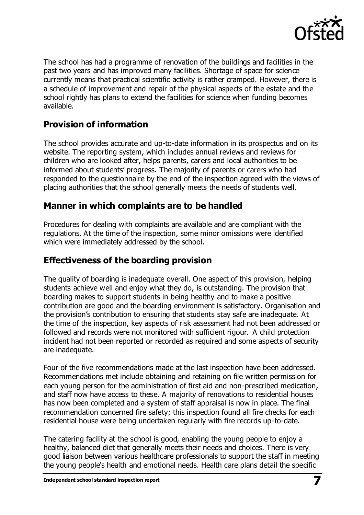

The school has had a programme of renovation of the buildings and facilities in the past two years and has improved many facilities. Shortage of space for science currently means that practical scientific activity is rather cramped. However, there is a schedule of improvement and repair of the physical aspects of the estate and the school rightly has plans to extend the facilities for science when funding becomes available.

### **Provision of information**

The school provides accurate and up-to-date information in its prospectus and on its website. The reporting system, which includes annual reviews and reviews for children who are looked after, helps parents, carers and local authorities to be informed about students' progress. The majority of parents or carers who had responded to the questionnaire by the end of the inspection agreed with the views of placing authorities that the school generally meets the needs of students well.

#### **Manner in which complaints are to be handled**

Procedures for dealing with complaints are available and are compliant with the regulations. At the time of the inspection, some minor omissions were identified which were immediately addressed by the school.

#### **Effectiveness of the boarding provision**

The quality of boarding is inadequate overall. One aspect of this provision, helping students achieve well and enjoy what they do, is outstanding. The provision that boarding makes to support students in being healthy and to make a positive contribution are good and the boarding environment is satisfactory. Organisation and the provision's contribution to ensuring that students stay safe are inadequate. At the time of the inspection, key aspects of risk assessment had not been addressed or followed and records were not monitored with sufficient rigour. A child protection incident had not been reported or recorded as required and some aspects of security are inadequate.

Four of the five recommendations made at the last inspection have been addressed. Recommendations met include obtaining and retaining on file written permission for each young person for the administration of first aid and non-prescribed medication, and staff now have access to these. A majority of renovations to residential houses has now been completed and a system of staff appraisal is now in place. The final recommendation concerned fire safety; this inspection found all fire checks for each residential house were being undertaken regularly with fire records up-to-date.

The catering facility at the school is good, enabling the young people to enjoy a healthy, balanced diet that generally meets their needs and choices. There is very good liaison between various healthcare professionals to support the staff in meeting the young people's health and emotional needs. Health care plans detail the specific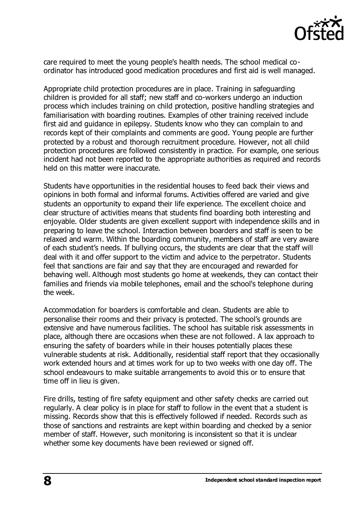

care required to meet the young people's health needs. The school medical coordinator has introduced good medication procedures and first aid is well managed.

Appropriate child protection procedures are in place. Training in safeguarding children is provided for all staff; new staff and co-workers undergo an induction process which includes training on child protection, positive handling strategies and familiarisation with boarding routines. Examples of other training received include first aid and guidance in epilepsy. Students know who they can complain to and records kept of their complaints and comments are good. Young people are further protected by a robust and thorough recruitment procedure. However, not all child protection procedures are followed consistently in practice. For example, one serious incident had not been reported to the appropriate authorities as required and records held on this matter were inaccurate.

Students have opportunities in the residential houses to feed back their views and opinions in both formal and informal forums. Activities offered are varied and give students an opportunity to expand their life experience. The excellent choice and clear structure of activities means that students find boarding both interesting and enjoyable. Older students are given excellent support with independence skills and in preparing to leave the school. Interaction between boarders and staff is seen to be relaxed and warm. Within the boarding community, members of staff are very aware of each student's needs. If bullying occurs, the students are clear that the staff will deal with it and offer support to the victim and advice to the perpetrator. Students feel that sanctions are fair and say that they are encouraged and rewarded for behaving well. Although most students go home at weekends, they can contact their families and friends via mobile telephones, email and the school's telephone during the week.

Accommodation for boarders is comfortable and clean. Students are able to personalise their rooms and their privacy is protected. The school's grounds are extensive and have numerous facilities. The school has suitable risk assessments in place, although there are occasions when these are not followed. A lax approach to ensuring the safety of boarders while in their houses potentially places these vulnerable students at risk. Additionally, residential staff report that they occasionally work extended hours and at times work for up to two weeks with one day off. The school endeavours to make suitable arrangements to avoid this or to ensure that time off in lieu is given.

Fire drills, testing of fire safety equipment and other safety checks are carried out regularly. A clear policy is in place for staff to follow in the event that a student is missing. Records show that this is effectively followed if needed. Records such as those of sanctions and restraints are kept within boarding and checked by a senior member of staff. However, such monitoring is inconsistent so that it is unclear whether some key documents have been reviewed or signed off.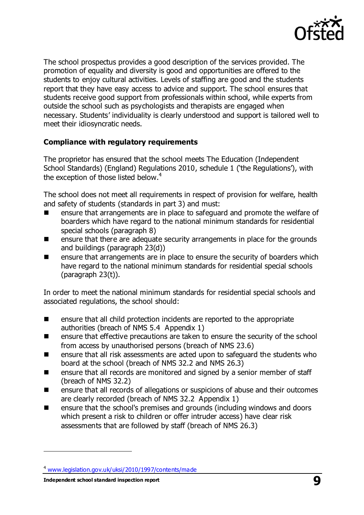

The school prospectus provides a good description of the services provided. The promotion of equality and diversity is good and opportunities are offered to the students to enjoy cultural activities. Levels of staffing are good and the students report that they have easy access to advice and support. The school ensures that students receive good support from professionals within school, while experts from outside the school such as psychologists and therapists are engaged when necessary. Students' individuality is clearly understood and support is tailored well to meet their idiosyncratic needs.

#### **Compliance with regulatory requirements**

The proprietor has ensured that the school meets The Education (Independent School Standards) (England) Regulations 2010, schedule 1 ('the Regulations'), with the exception of those listed below.<sup>4</sup>

The school does not meet all requirements in respect of provision for welfare, health and safety of students (standards in part 3) and must:

- ensure that arrangements are in place to safeguard and promote the welfare of boarders which have regard to the national minimum standards for residential special schools (paragraph 8)
- **E** ensure that there are adequate security arrangements in place for the grounds and buildings (paragraph 23(d))
- **EXTERUTE:** ensure that arrangements are in place to ensure the security of boarders which have regard to the national minimum standards for residential special schools (paragraph 23(t)).

In order to meet the national minimum standards for residential special schools and associated regulations, the school should:

- **EXECUTE:** ensure that all child protection incidents are reported to the appropriate authorities (breach of NMS 5.4 Appendix 1)
- **EXECT** ensure that effective precautions are taken to ensure the security of the school from access by unauthorised persons (breach of NMS 23.6)
- **EXECUTE:** ensure that all risk assessments are acted upon to safeguard the students who board at the school (breach of NMS 32.2 and NMS 26.3)
- ensure that all records are monitored and signed by a senior member of staff (breach of NMS 32.2)
- ensure that all records of allegations or suspicions of abuse and their outcomes are clearly recorded (breach of NMS 32.2 Appendix 1)
- ensure that the school's premises and grounds (including windows and doors which present a risk to children or offer intruder access) have clear risk assessments that are followed by staff (breach of NMS 26.3)

**Independent school standard inspection report 9** 

 $\overline{a}$ 

<sup>4</sup> [www.legislation.gov.uk/uksi/2010/1997/contents/made](http://www.legislation.gov.uk/uksi/2010/1997/contents/made)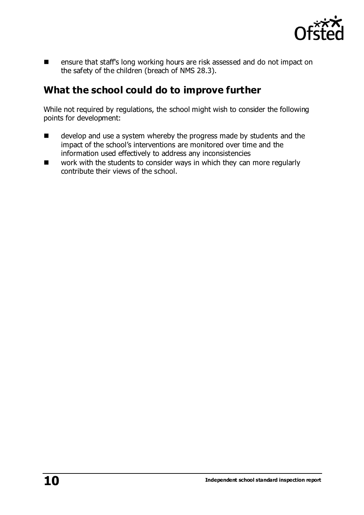

**EXECUTE:** ensure that staff's long working hours are risk assessed and do not impact on the safety of the children (breach of NMS 28.3).

## **What the school could do to improve further**

While not required by regulations, the school might wish to consider the following points for development:

- **EXECUTE:** develop and use a system whereby the progress made by students and the impact of the school's interventions are monitored over time and the information used effectively to address any inconsistencies
- work with the students to consider ways in which they can more regularly contribute their views of the school.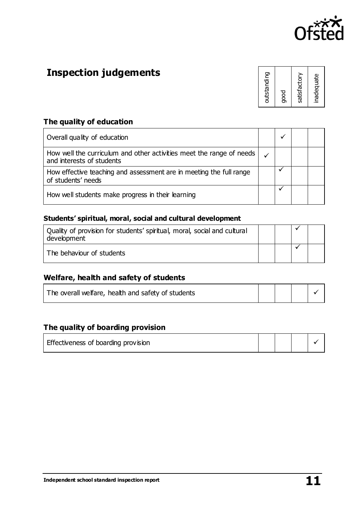

# **Inspection judgements**

| outstanding<br>good | satisfactory | inadequate |
|---------------------|--------------|------------|
|---------------------|--------------|------------|

#### **The quality of education**

| Overall quality of education                                                                      |  |  |
|---------------------------------------------------------------------------------------------------|--|--|
| How well the curriculum and other activities meet the range of needs<br>and interests of students |  |  |
| How effective teaching and assessment are in meeting the full range<br>of students' needs         |  |  |
| How well students make progress in their learning                                                 |  |  |

#### **Students' spiritual, moral, social and cultural development**

| Quality of provision for students' spiritual, moral, social and cultural<br>development |  |  |
|-----------------------------------------------------------------------------------------|--|--|
| The behaviour of students                                                               |  |  |

#### **Welfare, health and safety of students**

| The overall welfare, health and safety of students |  |  |
|----------------------------------------------------|--|--|
|                                                    |  |  |

#### **The quality of boarding provision**

| Effectiveness of boarding provision |  |  |
|-------------------------------------|--|--|
|                                     |  |  |